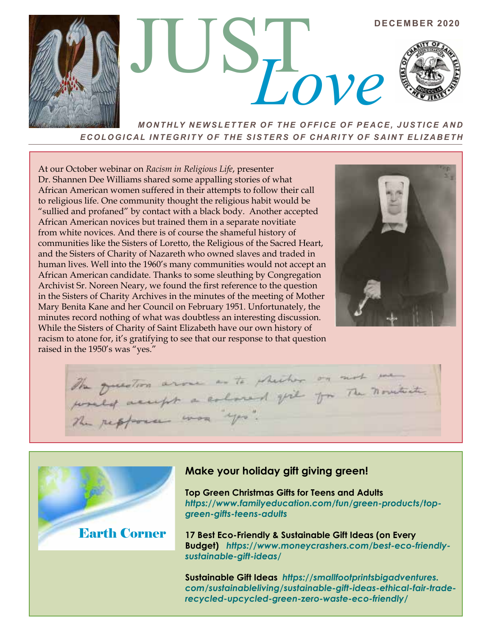

*ECOLOGICAL INTEGRITY OF THE SISTERS OF CHARITY OF SAINT ELIZABETH*

At our October webinar on *Racism in Religious Life*, presenter Dr. Shannen Dee Williams shared some appalling stories of what African American women suffered in their attempts to follow their call to religious life. One community thought the religious habit would be "sullied and profaned" by contact with a black body. Another accepted African American novices but trained them in a separate novitiate from white novices. And there is of course the shameful history of communities like the Sisters of Loretto, the Religious of the Sacred Heart, and the Sisters of Charity of Nazareth who owned slaves and traded in human lives. Well into the 1960's many communities would not accept an African American candidate. Thanks to some sleuthing by Congregation Archivist Sr. Noreen Neary, we found the first reference to the question in the Sisters of Charity Archives in the minutes of the meeting of Mother Mary Benita Kane and her Council on February 1951. Unfortunately, the minutes record nothing of what was doubtless an interesting discussion. While the Sisters of Charity of Saint Elizabeth have our own history of racism to atone for, it's gratifying to see that our response to that question raised in the 1950's was "yes."



The question aroue as to shecker on not me The question arose as to shelter on the novitude.



# **Make your holiday gift giving green!**

**Top Green Christmas Gifts for Teens and Adults** *https://www.familyeducation.com/fun/green-products/topgreen-gifts-teens-adults*

**17 Best Eco-Friendly & Sustainable Gift Ideas (on Every Budget)** *https://www.moneycrashers.com/best-eco-friendlysustainable-gift-ideas/* 

**Sustainable Gift Ideas** *https://smallfootprintsbigadventures. com/sustainableliving/sustainable-gift-ideas-ethical-fair-traderecycled-upcycled-green-zero-waste-eco-friendly/*